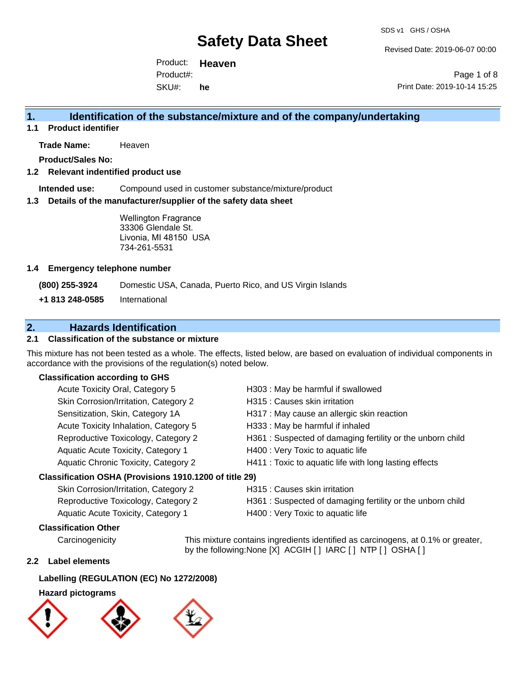Revised Date: 2019-06-07 00:00

Product: **Heaven**  SKU#: Product#: **he**

Page 1 of 8 Print Date: 2019-10-14 15:25

### **1. Identification of the substance/mixture and of the company/undertaking**

**1.1 Product identifier**

**Trade Name:** Heaven

**Product/Sales No:**

#### **1.2 Relevant indentified product use**

**Intended use:** Compound used in customer substance/mixture/product

#### **1.3 Details of the manufacturer/supplier of the safety data sheet**

Wellington Fragrance 33306 Glendale St. Livonia, MI 48150 USA 734-261-5531

#### **1.4 Emergency telephone number**

**(800) 255-3924** Domestic USA, Canada, Puerto Rico, and US Virgin Islands

**+1 813 248-0585** International

### **2. Hazards Identification**

#### **2.1 Classification of the substance or mixture**

This mixture has not been tested as a whole. The effects, listed below, are based on evaluation of individual components in accordance with the provisions of the regulation(s) noted below.

#### **Classification according to GHS**

| Acute Toxicity Oral, Category 5                        | H303 : May be harmful if swallowed                         |
|--------------------------------------------------------|------------------------------------------------------------|
| Skin Corrosion/Irritation, Category 2                  | H315 : Causes skin irritation                              |
| Sensitization, Skin, Category 1A                       | H317 : May cause an allergic skin reaction                 |
| Acute Toxicity Inhalation, Category 5                  | H333: May be harmful if inhaled                            |
| Reproductive Toxicology, Category 2                    | H361 : Suspected of damaging fertility or the unborn child |
| Aquatic Acute Toxicity, Category 1                     | H400 : Very Toxic to aquatic life                          |
| Aquatic Chronic Toxicity, Category 2                   | H411 : Toxic to aquatic life with long lasting effects     |
| Classification OSHA (Provisions 1910.1200 of title 29) |                                                            |

## Skin Corrosion/Irritation, Category 2 H315 : Causes skin irritation Reproductive Toxicology, Category 2 H361 : Suspected of damaging fertility or the unborn child Aquatic Acute Toxicity, Category 1 H400 : Very Toxic to aquatic life

#### **Classification Other**

Carcinogenicity This mixture contains ingredients identified as carcinogens, at 0.1% or greater, by the following:None [X] ACGIH [ ] IARC [ ] NTP [ ] OSHA [ ]

#### **2.2 Label elements**

#### **Labelling (REGULATION (EC) No 1272/2008)**

#### **Hazard pictograms**

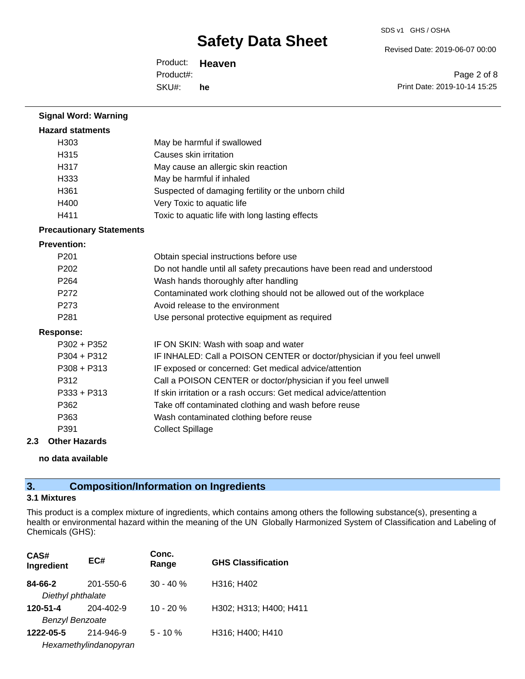Revised Date: 2019-06-07 00:00

Product: **Heaven**  SKU#: Product#: **he**

Page 2 of 8 Print Date: 2019-10-14 15:25

| <b>Signal Word: Warning</b>     |                                                                          |
|---------------------------------|--------------------------------------------------------------------------|
| <b>Hazard statments</b>         |                                                                          |
| H303                            | May be harmful if swallowed                                              |
| H315                            | Causes skin irritation                                                   |
| H317                            | May cause an allergic skin reaction                                      |
| H333                            | May be harmful if inhaled                                                |
| H361                            | Suspected of damaging fertility or the unborn child                      |
| H400                            | Very Toxic to aquatic life                                               |
| H411                            | Toxic to aquatic life with long lasting effects                          |
| <b>Precautionary Statements</b> |                                                                          |
| <b>Prevention:</b>              |                                                                          |
| P201                            | Obtain special instructions before use                                   |
| P <sub>202</sub>                | Do not handle until all safety precautions have been read and understood |
| P <sub>264</sub>                | Wash hands thoroughly after handling                                     |
| P272                            | Contaminated work clothing should not be allowed out of the workplace    |
| P273                            | Avoid release to the environment                                         |
| P281                            | Use personal protective equipment as required                            |
| <b>Response:</b>                |                                                                          |
| $P302 + P352$                   | IF ON SKIN: Wash with soap and water                                     |
| $P304 + P312$                   | IF INHALED: Call a POISON CENTER or doctor/physician if you feel unwell  |
| P308 + P313                     | IF exposed or concerned: Get medical advice/attention                    |
| P312                            | Call a POISON CENTER or doctor/physician if you feel unwell              |
| P333 + P313                     | If skin irritation or a rash occurs: Get medical advice/attention        |
| P362                            | Take off contaminated clothing and wash before reuse                     |
| P363                            | Wash contaminated clothing before reuse                                  |
| P391                            | <b>Collect Spillage</b>                                                  |
| <b>Other Hazards</b><br>2.3     |                                                                          |

#### **no data available**

### **3. Composition/Information on Ingredients**

### **3.1 Mixtures**

This product is a complex mixture of ingredients, which contains among others the following substance(s), presenting a health or environmental hazard within the meaning of the UN Globally Harmonized System of Classification and Labeling of Chemicals (GHS):

| CAS#<br>Ingredient     | EC#                   | Conc.<br>Range | <b>GHS Classification</b> |
|------------------------|-----------------------|----------------|---------------------------|
| 84-66-2                | 201-550-6             | $30 - 40%$     | H316; H402                |
| Diethyl phthalate      |                       |                |                           |
| 120-51-4               | $204 - 402 - 9$       | $10 - 20 %$    | H302; H313; H400; H411    |
| <b>Benzyl Benzoate</b> |                       |                |                           |
| 1222-05-5              | 214-946-9             | $5 - 10%$      | H316; H400; H410          |
|                        | Hexamethylindanopyran |                |                           |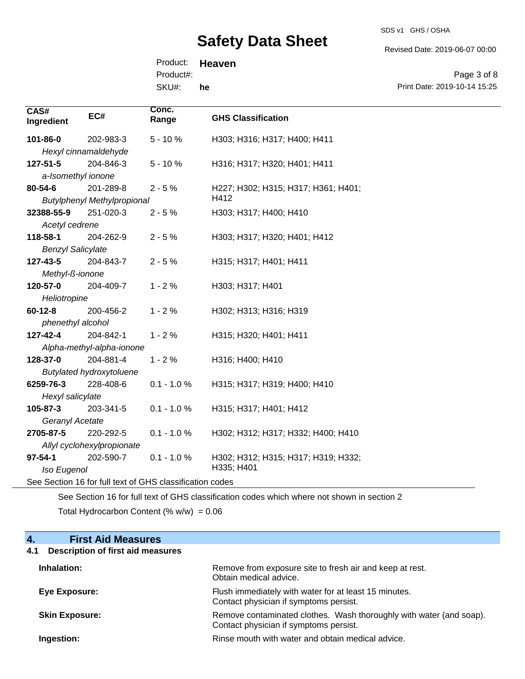SDS v1 GHS / OSHA

Revised Date: 2019-06-07 00:00

Product: **Heaven**  SKU#: Product#: **he**

Page 3 of 8 Print Date: 2019-10-14 15:25

| CAS#<br>Ingredient       | EC#                                | Conc.<br>Range                                           | <b>GHS Classification</b>                         |
|--------------------------|------------------------------------|----------------------------------------------------------|---------------------------------------------------|
| 101-86-0                 | 202-983-3                          | $5 - 10%$                                                | H303; H316; H317; H400; H411                      |
|                          | Hexyl cinnamaldehyde               |                                                          |                                                   |
| 127-51-5                 | 204-846-3                          | $5 - 10%$                                                | H316; H317; H320; H401; H411                      |
| a-Isomethyl ionone       |                                    |                                                          |                                                   |
| 80-54-6                  | 201-289-8                          | $2 - 5%$                                                 | H227; H302; H315; H317; H361; H401;               |
|                          | <b>Butylphenyl Methylpropional</b> |                                                          | H412                                              |
| 32388-55-9               | 251-020-3                          | $2 - 5%$                                                 | H303; H317; H400; H410                            |
| Acetyl cedrene           |                                    |                                                          |                                                   |
| 118-58-1                 | 204-262-9                          | $2 - 5%$                                                 | H303; H317; H320; H401; H412                      |
| <b>Benzyl Salicylate</b> |                                    |                                                          |                                                   |
| 127-43-5                 | 204-843-7                          | $2 - 5%$                                                 | H315; H317; H401; H411                            |
| Methyl-ß-ionone          |                                    |                                                          |                                                   |
| 120-57-0                 | 204-409-7                          | $1 - 2%$                                                 | H303; H317; H401                                  |
| Heliotropine             |                                    |                                                          |                                                   |
| $60 - 12 - 8$            | 200-456-2                          | $1 - 2%$                                                 | H302; H313; H316; H319                            |
| phenethyl alcohol        |                                    |                                                          |                                                   |
| 127-42-4                 | 204-842-1                          | $1 - 2%$                                                 | H315; H320; H401; H411                            |
|                          | Alpha-methyl-alpha-ionone          |                                                          |                                                   |
| 128-37-0                 | 204-881-4                          | $1 - 2%$                                                 | H316; H400; H410                                  |
|                          | <b>Butylated hydroxytoluene</b>    |                                                          |                                                   |
| 6259-76-3                | 228-408-6                          | $0.1 - 1.0 \%$                                           | H315; H317; H319; H400; H410                      |
| Hexyl salicylate         |                                    |                                                          |                                                   |
| 105-87-3                 | 203-341-5                          | $0.1 - 1.0 %$                                            | H315; H317; H401; H412                            |
| Geranyl Acetate          |                                    |                                                          |                                                   |
| 2705-87-5                | 220-292-5                          | $0.1 - 1.0 %$                                            | H302; H312; H317; H332; H400; H410                |
|                          | Allyl cyclohexylpropionate         |                                                          |                                                   |
| $97 - 54 - 1$            | 202-590-7                          | $0.1 - 1.0 %$                                            | H302; H312; H315; H317; H319; H332;<br>H335; H401 |
| Iso Eugenol              |                                    | See Section 16 for full text of GHS classification codes |                                                   |
|                          |                                    |                                                          |                                                   |

See Section 16 for full text of GHS classification codes which where not shown in section 2 Total Hydrocarbon Content (%  $w/w$ ) = 0.06

### **4. First Aid Measures**

## **4.1 Description of first aid measures**

| Inhalation:           | Remove from exposure site to fresh air and keep at rest.<br>Obtain medical advice.                            |
|-----------------------|---------------------------------------------------------------------------------------------------------------|
| Eye Exposure:         | Flush immediately with water for at least 15 minutes.<br>Contact physician if symptoms persist.               |
| <b>Skin Exposure:</b> | Remove contaminated clothes. Wash thoroughly with water (and soap).<br>Contact physician if symptoms persist. |
| Ingestion:            | Rinse mouth with water and obtain medical advice.                                                             |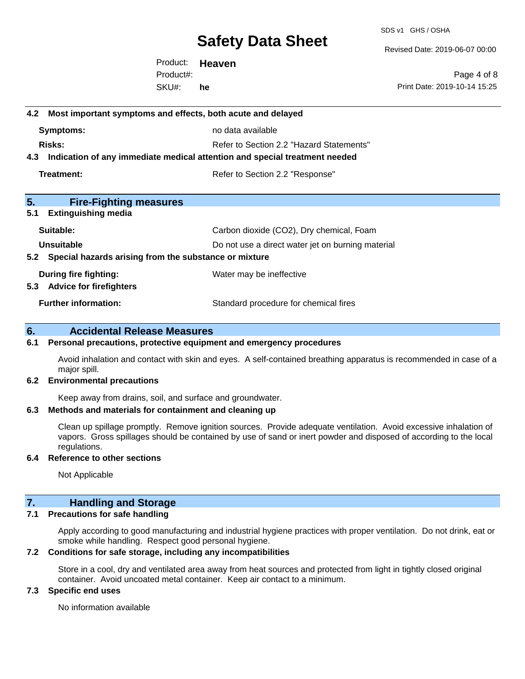SDS v1 GHS / OSHA

Revised Date: 2019-06-07 00:00

Product: **Heaven**  SKU#: Product#: **he**

Page 4 of 8 Print Date: 2019-10-14 15:25

## **4.2 Most important symptoms and effects, both acute and delayed Symptoms:** no data available **Risks:** Risks: Refer to Section 2.2 "Hazard Statements" **4.3 Indication of any immediate medical attention and special treatment needed Treatment:** Treatment: Treatment: Refer to Section 2.2 "Response" **5. Fire-Fighting measures 5.1 Extinguishing media** Suitable: Carbon dioxide (CO2), Dry chemical, Foam **Unsuitable** Do not use a direct water jet on burning material **5.2 Special hazards arising from the substance or mixture During fire fighting:** Water may be ineffective **5.3 Advice for firefighters Further information:** Standard procedure for chemical fires

#### **6. Accidental Release Measures**

#### **6.1 Personal precautions, protective equipment and emergency procedures**

Avoid inhalation and contact with skin and eyes. A self-contained breathing apparatus is recommended in case of a major spill.

#### **6.2 Environmental precautions**

Keep away from drains, soil, and surface and groundwater.

#### **6.3 Methods and materials for containment and cleaning up**

Clean up spillage promptly. Remove ignition sources. Provide adequate ventilation. Avoid excessive inhalation of vapors. Gross spillages should be contained by use of sand or inert powder and disposed of according to the local regulations.

#### **6.4 Reference to other sections**

Not Applicable

#### **7. Handling and Storage**

#### **7.1 Precautions for safe handling**

Apply according to good manufacturing and industrial hygiene practices with proper ventilation. Do not drink, eat or smoke while handling. Respect good personal hygiene.

#### **7.2 Conditions for safe storage, including any incompatibilities**

Store in a cool, dry and ventilated area away from heat sources and protected from light in tightly closed original container. Avoid uncoated metal container. Keep air contact to a minimum.

#### **7.3 Specific end uses**

No information available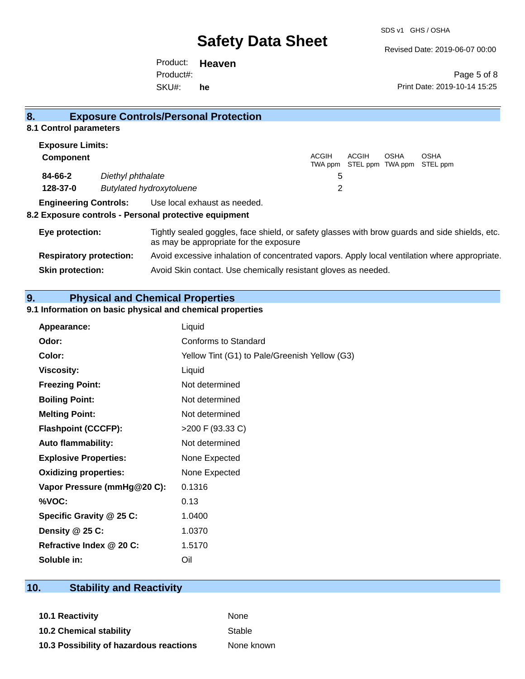Revised Date: 2019-06-07 00:00

Product: **Heaven**  SKU#: Product#: **he**

Page 5 of 8 Print Date: 2019-10-14 15:25

#### **8. Exposure Controls/Personal Protection 8.1 Control parameters Exposure Limits: Component** ACGIH TWA ppm STEL ppm TWA ppm STEL ppm ACGIH OSHA OSHA **84-66-2** *Diethyl phthalate* 5 **128-37-0** *Butylated hydroxytoluene* 2 **Engineering Controls:** Use local exhaust as needed. **8.2 Exposure controls - Personal protective equipment Eye protection:** Tightly sealed goggles, face shield, or safety glasses with brow guards and side shields, etc. as may be appropriate for the exposure **Respiratory protection:** Avoid excessive inhalation of concentrated vapors. Apply local ventilation where appropriate. **Skin protection:** Avoid Skin contact. Use chemically resistant gloves as needed.

### **9. Physical and Chemical Properties**

#### **9.1 Information on basic physical and chemical properties**

| <b>Appearance:</b>           | Liquid                                        |
|------------------------------|-----------------------------------------------|
| Odor:                        | Conforms to Standard                          |
| Color:                       | Yellow Tint (G1) to Pale/Greenish Yellow (G3) |
| <b>Viscosity:</b>            | Liquid                                        |
| <b>Freezing Point:</b>       | Not determined                                |
| <b>Boiling Point:</b>        | Not determined                                |
| <b>Melting Point:</b>        | Not determined                                |
| <b>Flashpoint (CCCFP):</b>   | >200 F (93.33 C)                              |
| <b>Auto flammability:</b>    | Not determined                                |
| <b>Explosive Properties:</b> | None Expected                                 |
| <b>Oxidizing properties:</b> | None Expected                                 |
| Vapor Pressure (mmHg@20 C):  | 0.1316                                        |
| %VOC:                        | 0.13                                          |
| Specific Gravity @ 25 C:     | 1.0400                                        |
| Density $@25C$ :             | 1.0370                                        |
| Refractive Index @ 20 C:     | 1.5170                                        |
| Soluble in:                  | Oil                                           |

### **10. Stability and Reactivity**

**10.1 Reactivity** None **10.2 Chemical stability** Stable **10.3 Possibility of hazardous reactions** None known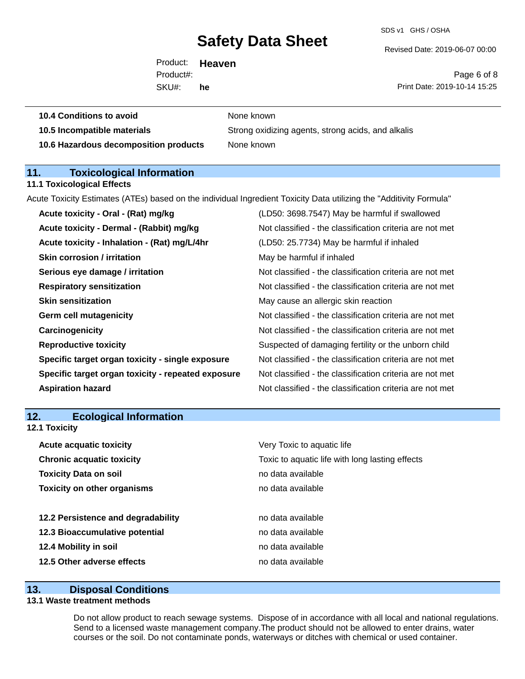SDS v1 GHS / OSHA

Revised Date: 2019-06-07 00:00

Product: **Heaven**  SKU#: Product#: **he**

**10.4 Conditions to avoid** None known

Page 6 of 8 Print Date: 2019-10-14 15:25

| 10.5 Incompatible materials |  |
|-----------------------------|--|
|-----------------------------|--|

**10.5 Incompatible materials** Strong oxidizing agents, strong acids, and alkalis **10.6 Hazardous decomposition products** None known

## **11. Toxicological Information**

#### **11.1 Toxicological Effects**

Acute Toxicity Estimates (ATEs) based on the individual Ingredient Toxicity Data utilizing the "Additivity Formula"

| Acute toxicity - Oral - (Rat) mg/kg                | (LD50: 3698.7547) May be harmful if swallowed            |
|----------------------------------------------------|----------------------------------------------------------|
| Acute toxicity - Dermal - (Rabbit) mg/kg           | Not classified - the classification criteria are not met |
| Acute toxicity - Inhalation - (Rat) mg/L/4hr       | (LD50: 25.7734) May be harmful if inhaled                |
| <b>Skin corrosion / irritation</b>                 | May be harmful if inhaled                                |
| Serious eye damage / irritation                    | Not classified - the classification criteria are not met |
| <b>Respiratory sensitization</b>                   | Not classified - the classification criteria are not met |
| <b>Skin sensitization</b>                          | May cause an allergic skin reaction                      |
| <b>Germ cell mutagenicity</b>                      | Not classified - the classification criteria are not met |
| Carcinogenicity                                    | Not classified - the classification criteria are not met |
| <b>Reproductive toxicity</b>                       | Suspected of damaging fertility or the unborn child      |
| Specific target organ toxicity - single exposure   | Not classified - the classification criteria are not met |
| Specific target organ toxicity - repeated exposure | Not classified - the classification criteria are not met |
| <b>Aspiration hazard</b>                           | Not classified - the classification criteria are not met |
|                                                    |                                                          |

### **12. Ecological Information**

**12.1 Toxicity**

| <b>Acute acquatic toxicity</b>     | Very Toxic to aquatic life                      |
|------------------------------------|-------------------------------------------------|
| <b>Chronic acquatic toxicity</b>   | Toxic to aquatic life with long lasting effects |
| <b>Toxicity Data on soil</b>       | no data available                               |
| <b>Toxicity on other organisms</b> | no data available                               |
|                                    |                                                 |
| 12.2 Persistence and degradability | no data available                               |
| 12.3 Bioaccumulative potential     | no data available                               |
| 12.4 Mobility in soil              | no data available                               |
| 12.5 Other adverse effects         | no data available                               |

#### **13. Disposal Conditions**

#### **13.1 Waste treatment methods**

Do not allow product to reach sewage systems. Dispose of in accordance with all local and national regulations. Send to a licensed waste management company.The product should not be allowed to enter drains, water courses or the soil. Do not contaminate ponds, waterways or ditches with chemical or used container.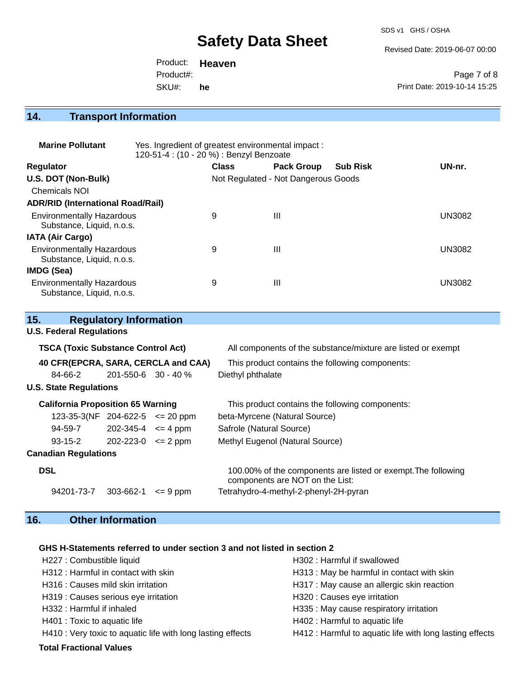SDS v1 GHS / OSHA

Revised Date: 2019-06-07 00:00

|           | Product: <b>Heaven</b> |                              |
|-----------|------------------------|------------------------------|
| Product#: |                        | Page 7 of 8                  |
| SKU#:     | he                     | Print Date: 2019-10-14 15:25 |

## **14. Transport Information**

| <b>Marine Pollutant</b>                                       | Yes. Ingredient of greatest environmental impact:<br>120-51-4 : (10 - 20 %) : Benzyl Benzoate |              |                                     |                 |               |
|---------------------------------------------------------------|-----------------------------------------------------------------------------------------------|--------------|-------------------------------------|-----------------|---------------|
| <b>Regulator</b>                                              |                                                                                               | <b>Class</b> | <b>Pack Group</b>                   | <b>Sub Risk</b> | UN-nr.        |
| U.S. DOT (Non-Bulk)                                           |                                                                                               |              | Not Regulated - Not Dangerous Goods |                 |               |
| Chemicals NOI                                                 |                                                                                               |              |                                     |                 |               |
| <b>ADR/RID (International Road/Rail)</b>                      |                                                                                               |              |                                     |                 |               |
| <b>Environmentally Hazardous</b><br>Substance, Liquid, n.o.s. |                                                                                               | 9            | $\mathbf{III}$                      |                 | <b>UN3082</b> |
| <b>IATA (Air Cargo)</b>                                       |                                                                                               |              |                                     |                 |               |
| <b>Environmentally Hazardous</b><br>Substance, Liquid, n.o.s. |                                                                                               | 9            | $\mathbf{III}$                      |                 | <b>UN3082</b> |
| IMDG (Sea)                                                    |                                                                                               |              |                                     |                 |               |
| <b>Environmentally Hazardous</b><br>Substance, Liquid, n.o.s. |                                                                                               | 9            | Ш                                   |                 | <b>UN3082</b> |

| All components of the substance/mixture are listed or exempt                                     |
|--------------------------------------------------------------------------------------------------|
| 40 CFR(EPCRA, SARA, CERCLA and CAA)<br>This product contains the following components:           |
| Diethyl phthalate                                                                                |
|                                                                                                  |
| This product contains the following components:                                                  |
| beta-Myrcene (Natural Source)                                                                    |
| Safrole (Natural Source)                                                                         |
| Methyl Eugenol (Natural Source)                                                                  |
|                                                                                                  |
| 100.00% of the components are listed or exempt. The following<br>components are NOT on the List: |
| Tetrahydro-4-methyl-2-phenyl-2H-pyran                                                            |
|                                                                                                  |

## **16. Other Information**

### **GHS H-Statements referred to under section 3 and not listed in section 2**

| <b>Total Fractional Values</b>                              |                                                          |
|-------------------------------------------------------------|----------------------------------------------------------|
| H410 : Very toxic to aquatic life with long lasting effects | H412 : Harmful to aquatic life with long lasting effects |
| H401 : Toxic to aquatic life                                | H402 : Harmful to aquatic life                           |
| H332: Harmful if inhaled                                    | H335 : May cause respiratory irritation                  |
| H319 : Causes serious eye irritation                        | H320 : Causes eye irritation                             |
| H316 : Causes mild skin irritation                          | H317 : May cause an allergic skin reaction               |
| H312: Harmful in contact with skin                          | H313: May be harmful in contact with skin                |
| H227 : Combustible liquid                                   | H302: Harmful if swallowed                               |